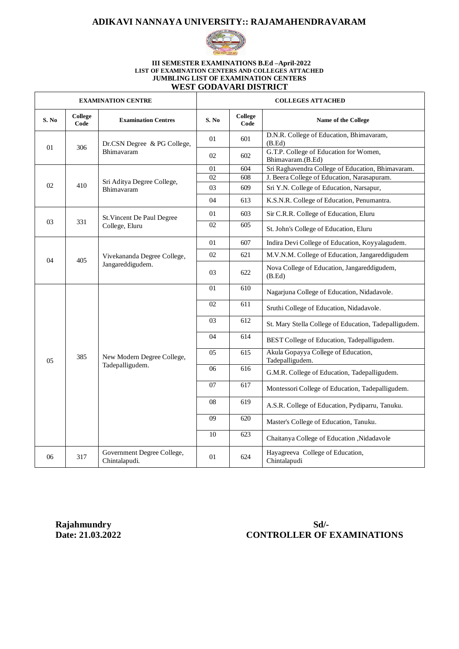#### **ADIKAVI NANNAYA UNIVERSITY:: RAJAMAHENDRAVARAM**



#### **III SEMESTER EXAMINATIONS B.Ed –April-2022 LIST OF EXAMINATION CENTERS AND COLLEGES ATTACHED JUMBLING LIST OF EXAMINATION CENTERS WEST GODAVARI DISTRICT**

| <b>EXAMINATION CENTRE</b> |                 |                                                 | <b>COLLEGES ATTACHED</b> |                 |                                                             |
|---------------------------|-----------------|-------------------------------------------------|--------------------------|-----------------|-------------------------------------------------------------|
| S. No                     | College<br>Code | <b>Examination Centres</b>                      | S. No                    | College<br>Code | Name of the College                                         |
| 01                        | 306             | Dr.CSN Degree & PG College,<br>Bhimavaram       | 01                       | 601             | D.N.R. College of Education, Bhimavaram,<br>(B.Ed)          |
|                           |                 |                                                 | 02                       | 602             | G.T.P. College of Education for Women,<br>Bhimavaram.(B.Ed) |
| 02                        |                 | Sri Aditya Degree College,<br>Bhimavaram        | 01                       | 604             | Sri Raghavendra College of Education, Bhimavaram.           |
|                           |                 |                                                 | 02                       | 608             | J. Beera College of Education, Narasapuram.                 |
|                           | 410             |                                                 | 03                       | 609             | Sri Y.N. College of Education, Narsapur,                    |
|                           |                 |                                                 | 04                       | 613             | K.S.N.R. College of Education, Penumantra.                  |
|                           | 331             | St. Vincent De Paul Degree<br>College, Eluru    | 01                       | 603             | Sir C.R.R. College of Education, Eluru                      |
| 03                        |                 |                                                 | 02                       | 605             | St. John's College of Education, Eluru                      |
|                           | 405             | Vivekananda Degree College,<br>Jangareddigudem. | 01                       | 607             | Indira Devi College of Education, Koyyalagudem.             |
| 04                        |                 |                                                 | 02                       | 621             | M.V.N.M. College of Education, Jangareddigudem              |
|                           |                 |                                                 | 03                       | 622             | Nova College of Education, Jangareddigudem,<br>(B.Ed)       |
|                           | 385             | New Modern Degree College,<br>Tadepalligudem.   | 01                       | 610             | Nagarjuna College of Education, Nidadavole.                 |
|                           |                 |                                                 | 02                       | 611             | Sruthi College of Education, Nidadavole.                    |
|                           |                 |                                                 | 03                       | 612             | St. Mary Stella College of Education, Tadepalligudem.       |
|                           |                 |                                                 | 04                       | 614             | BEST College of Education, Tadepalligudem.                  |
| 0 <sub>5</sub>            |                 |                                                 | 05                       | 615             | Akula Gopayya College of Education,<br>Tadepalligudem.      |
|                           |                 |                                                 | 06                       | 616             | G.M.R. College of Education, Tadepalligudem.                |
|                           |                 |                                                 | 07                       | 617             | Montessori College of Education, Tadepalligudem.            |
|                           |                 |                                                 | 08                       | 619             | A.S.R. College of Education, Pydiparru, Tanuku.             |
|                           |                 |                                                 | 09                       | 620             | Master's College of Education, Tanuku.                      |
|                           |                 |                                                 | 10                       | 623             | Chaitanya College of Education ,Nidadavole                  |
| 06                        | 317             | Government Degree College,<br>Chintalapudi.     | 01                       | 624             | Hayagreeva College of Education,<br>Chintalapudi            |

## **Rajahmundry Sd/-**<br>Date: 21.03.2022 **CONTROLLER OF 1 CONTROLLER OF EXAMINATIONS**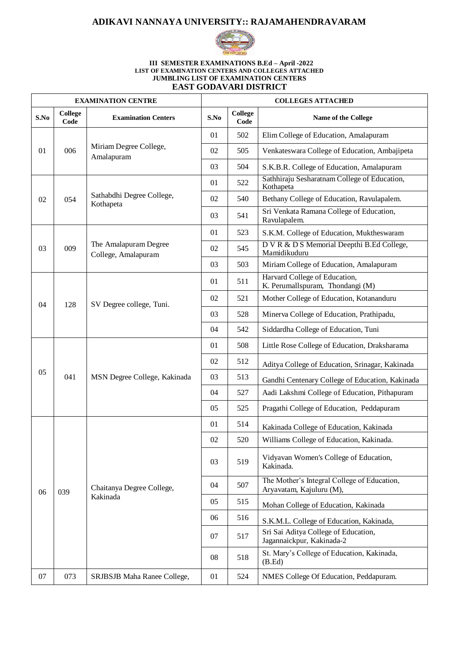### **ADIKAVI NANNAYA UNIVERSITY:: RAJAMAHENDRAVARAM**



#### **III SEMESTER EXAMINATIONS B.Ed – April -2022 LIST OF EXAMINATION CENTERS AND COLLEGES ATTACHED JUMBLING LIST OF EXAMINATION CENTERS**

| <b>EAST GODAVARI DISTRICT</b> |  |
|-------------------------------|--|
|                               |  |

|      | <b>EXAMINATION CENTRE</b> |                                              |      | <b>COLLEGES ATTACHED</b> |                                                                         |  |  |
|------|---------------------------|----------------------------------------------|------|--------------------------|-------------------------------------------------------------------------|--|--|
| S.No | <b>College</b><br>Code    | <b>Examination Centers</b>                   | S.No | <b>College</b><br>Code   | Name of the College                                                     |  |  |
| 01   | 006                       | Miriam Degree College,<br>Amalapuram         | 01   | 502                      | Elim College of Education, Amalapuram                                   |  |  |
|      |                           |                                              | 02   | 505                      | Venkateswara College of Education, Ambajipeta                           |  |  |
|      |                           |                                              | 03   | 504                      | S.K.B.R. College of Education, Amalapuram                               |  |  |
| 02   | 054                       | Sathabdhi Degree College,<br>Kothapeta       | 01   | 522                      | Sathhiraju Sesharatnam College of Education,<br>Kothapeta               |  |  |
|      |                           |                                              | 02   | 540                      | Bethany College of Education, Ravulapalem.                              |  |  |
|      |                           |                                              | 03   | 541                      | Sri Venkata Ramana College of Education,<br>Ravulapalem.                |  |  |
|      | 009                       | The Amalapuram Degree<br>College, Amalapuram | 01   | 523                      | S.K.M. College of Education, Muktheswaram                               |  |  |
| 03   |                           |                                              | 02   | 545                      | D V R & D S Memorial Deepthi B.Ed College,<br>Mamidikuduru              |  |  |
|      |                           |                                              | 03   | 503                      | Miriam College of Education, Amalapuram                                 |  |  |
|      | 128                       | SV Degree college, Tuni.                     | 01   | 511                      | Harvard College of Education,<br>K. Perumallspuram, Thondangi (M)       |  |  |
| 04   |                           |                                              | 02   | 521                      | Mother College of Education, Kotananduru                                |  |  |
|      |                           |                                              | 03   | 528                      | Minerva College of Education, Prathipadu,                               |  |  |
|      |                           |                                              | 04   | 542                      | Siddardha College of Education, Tuni                                    |  |  |
|      | 041                       | MSN Degree College, Kakinada                 | 01   | 508                      | Little Rose College of Education, Draksharama                           |  |  |
|      |                           |                                              | 02   | 512                      | Aditya College of Education, Srinagar, Kakinada                         |  |  |
| 05   |                           |                                              | 03   | 513                      | Gandhi Centenary College of Education, Kakinada                         |  |  |
|      |                           |                                              | 04   | 527                      | Aadi Lakshmi College of Education, Pithapuram                           |  |  |
|      |                           |                                              | 05   | 525                      | Pragathi College of Education, Peddapuram                               |  |  |
|      | 039                       | Chaitanya Degree College,<br>Kakinada        | 01   | 514                      | Kakinada College of Education, Kakinada                                 |  |  |
|      |                           |                                              | 02   | 520                      | Williams College of Education, Kakinada.                                |  |  |
| 06   |                           |                                              | 03   | 519                      | Vidyavan Women's College of Education,<br>Kakinada.                     |  |  |
|      |                           |                                              | 04   | 507                      | The Mother's Integral College of Education,<br>Aryavatam, Kajuluru (M), |  |  |
|      |                           |                                              | 05   | 515                      | Mohan College of Education, Kakinada                                    |  |  |
|      |                           |                                              | 06   | 516                      | S.K.M.L. College of Education, Kakinada,                                |  |  |
|      |                           |                                              | 07   | 517                      | Sri Sai Aditya College of Education,<br>Jagannaickpur, Kakinada-2       |  |  |
|      |                           |                                              | 08   | 518                      | St. Mary's College of Education, Kakinada,<br>(B.Ed)                    |  |  |
| 07   | 073                       | SRJBSJB Maha Ranee College,                  | 01   | 524                      | NMES College Of Education, Peddapuram.                                  |  |  |